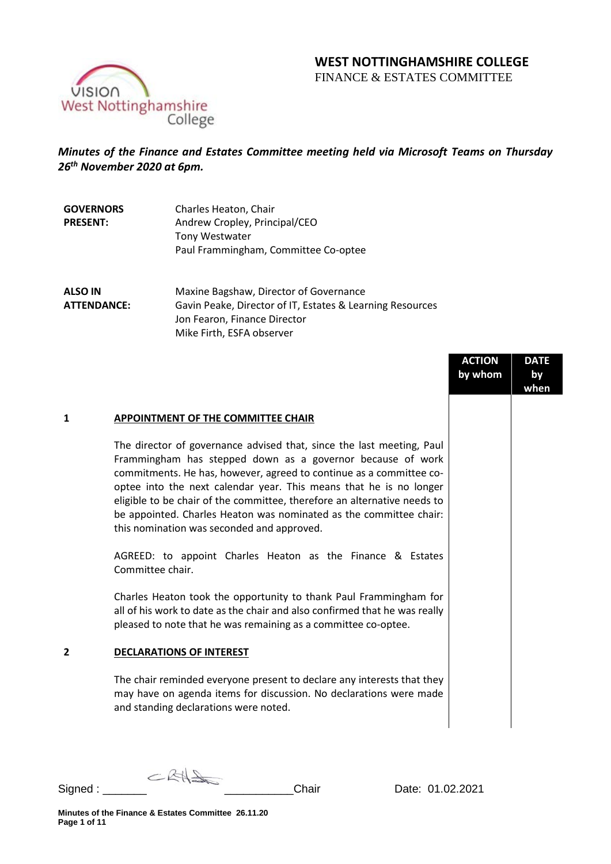# **WEST NOTTINGHAMSHIRE COLLEGE**

FINANCE & ESTATES COMMITTEE



## *Minutes of the Finance and Estates Committee meeting held via Microsoft Teams on Thursday 26th November 2020 at 6pm.*

| Charles Heaton, Chair                |
|--------------------------------------|
| Andrew Cropley, Principal/CEO        |
| <b>Tony Westwater</b>                |
| Paul Frammingham, Committee Co-optee |
|                                      |

**ALSO IN ATTENDANCE:** Maxine Bagshaw, Director of Governance Gavin Peake, Director of IT, Estates & Learning Resources Jon Fearon, Finance Director Mike Firth, ESFA observer

|   |                                                                                                                                                                                                                                                                                                                                                                                                                                                                                  | <b>ACTION</b><br>by whom | <b>DATE</b><br>by<br>when |
|---|----------------------------------------------------------------------------------------------------------------------------------------------------------------------------------------------------------------------------------------------------------------------------------------------------------------------------------------------------------------------------------------------------------------------------------------------------------------------------------|--------------------------|---------------------------|
| 1 | APPOINTMENT OF THE COMMITTEE CHAIR                                                                                                                                                                                                                                                                                                                                                                                                                                               |                          |                           |
|   | The director of governance advised that, since the last meeting, Paul<br>Frammingham has stepped down as a governor because of work<br>commitments. He has, however, agreed to continue as a committee co-<br>optee into the next calendar year. This means that he is no longer<br>eligible to be chair of the committee, therefore an alternative needs to<br>be appointed. Charles Heaton was nominated as the committee chair:<br>this nomination was seconded and approved. |                          |                           |
|   | AGREED: to appoint Charles Heaton as the Finance & Estates<br>Committee chair.                                                                                                                                                                                                                                                                                                                                                                                                   |                          |                           |
|   | Charles Heaton took the opportunity to thank Paul Frammingham for<br>all of his work to date as the chair and also confirmed that he was really<br>pleased to note that he was remaining as a committee co-optee.                                                                                                                                                                                                                                                                |                          |                           |
| 2 | <b>DECLARATIONS OF INTEREST</b>                                                                                                                                                                                                                                                                                                                                                                                                                                                  |                          |                           |
|   | The chair reminded everyone present to declare any interests that they<br>may have on agenda items for discussion. No declarations were made<br>and standing declarations were noted.                                                                                                                                                                                                                                                                                            |                          |                           |
|   |                                                                                                                                                                                                                                                                                                                                                                                                                                                                                  |                          |                           |

 $CKH2$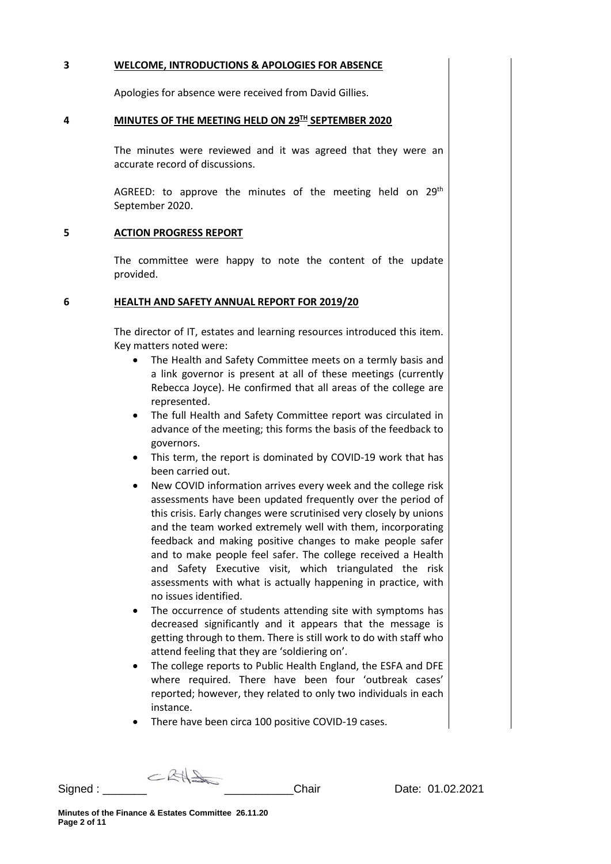#### **3 WELCOME, INTRODUCTIONS & APOLOGIES FOR ABSENCE**

Apologies for absence were received from David Gillies.

#### **4 MINUTES OF THE MEETING HELD ON 29TH SEPTEMBER 2020**

The minutes were reviewed and it was agreed that they were an accurate record of discussions.

AGREED: to approve the minutes of the meeting held on  $29<sup>th</sup>$ September 2020.

#### **5 ACTION PROGRESS REPORT**

The committee were happy to note the content of the update provided.

#### **6 HEALTH AND SAFETY ANNUAL REPORT FOR 2019/20**

The director of IT, estates and learning resources introduced this item. Key matters noted were:

- The Health and Safety Committee meets on a termly basis and a link governor is present at all of these meetings (currently Rebecca Joyce). He confirmed that all areas of the college are represented.
- The full Health and Safety Committee report was circulated in advance of the meeting; this forms the basis of the feedback to governors.
- This term, the report is dominated by COVID-19 work that has been carried out.
- New COVID information arrives every week and the college risk assessments have been updated frequently over the period of this crisis. Early changes were scrutinised very closely by unions and the team worked extremely well with them, incorporating feedback and making positive changes to make people safer and to make people feel safer. The college received a Health and Safety Executive visit, which triangulated the risk assessments with what is actually happening in practice, with no issues identified.
- The occurrence of students attending site with symptoms has decreased significantly and it appears that the message is getting through to them. There is still work to do with staff who attend feeling that they are 'soldiering on'.
- The college reports to Public Health England, the ESFA and DFE where required. There have been four 'outbreak cases' reported; however, they related to only two individuals in each instance.
- There have been circa 100 positive COVID-19 cases.

 $CBA$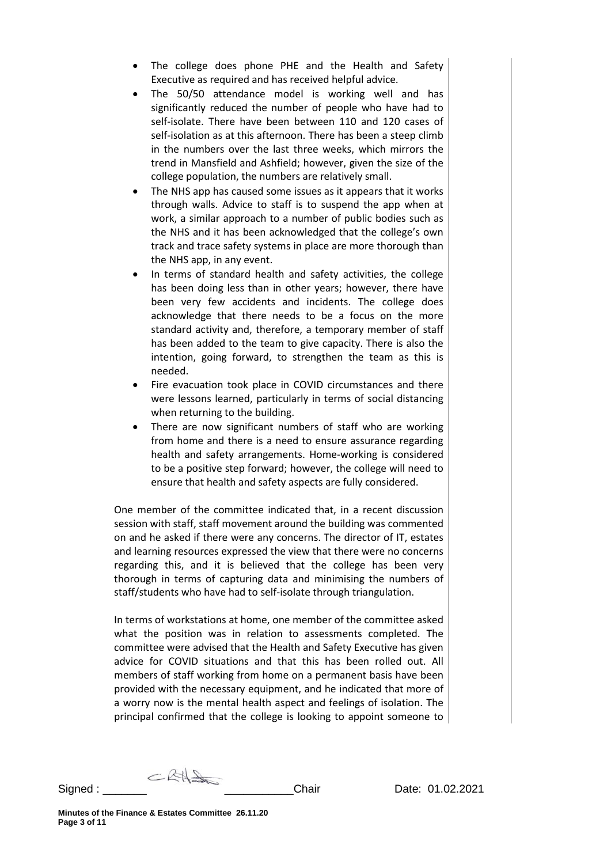- The college does phone PHE and the Health and Safety Executive as required and has received helpful advice.
- The 50/50 attendance model is working well and has significantly reduced the number of people who have had to self-isolate. There have been between 110 and 120 cases of self-isolation as at this afternoon. There has been a steep climb in the numbers over the last three weeks, which mirrors the trend in Mansfield and Ashfield; however, given the size of the college population, the numbers are relatively small.
- The NHS app has caused some issues as it appears that it works through walls. Advice to staff is to suspend the app when at work, a similar approach to a number of public bodies such as the NHS and it has been acknowledged that the college's own track and trace safety systems in place are more thorough than the NHS app, in any event.
- In terms of standard health and safety activities, the college has been doing less than in other years; however, there have been very few accidents and incidents. The college does acknowledge that there needs to be a focus on the more standard activity and, therefore, a temporary member of staff has been added to the team to give capacity. There is also the intention, going forward, to strengthen the team as this is needed.
- Fire evacuation took place in COVID circumstances and there were lessons learned, particularly in terms of social distancing when returning to the building.
- There are now significant numbers of staff who are working from home and there is a need to ensure assurance regarding health and safety arrangements. Home-working is considered to be a positive step forward; however, the college will need to ensure that health and safety aspects are fully considered.

One member of the committee indicated that, in a recent discussion session with staff, staff movement around the building was commented on and he asked if there were any concerns. The director of IT, estates and learning resources expressed the view that there were no concerns regarding this, and it is believed that the college has been very thorough in terms of capturing data and minimising the numbers of staff/students who have had to self-isolate through triangulation.

In terms of workstations at home, one member of the committee asked what the position was in relation to assessments completed. The committee were advised that the Health and Safety Executive has given advice for COVID situations and that this has been rolled out. All members of staff working from home on a permanent basis have been provided with the necessary equipment, and he indicated that more of a worry now is the mental health aspect and feelings of isolation. The principal confirmed that the college is looking to appoint someone to

 $CRH\rightarrow$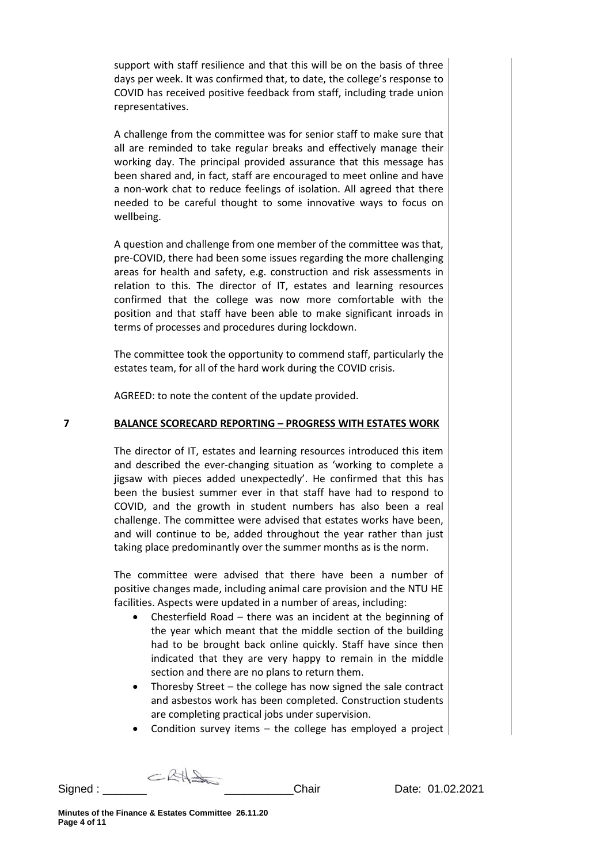support with staff resilience and that this will be on the basis of three days per week. It was confirmed that, to date, the college's response to COVID has received positive feedback from staff, including trade union representatives.

A challenge from the committee was for senior staff to make sure that all are reminded to take regular breaks and effectively manage their working day. The principal provided assurance that this message has been shared and, in fact, staff are encouraged to meet online and have a non-work chat to reduce feelings of isolation. All agreed that there needed to be careful thought to some innovative ways to focus on wellbeing.

A question and challenge from one member of the committee was that, pre-COVID, there had been some issues regarding the more challenging areas for health and safety, e.g. construction and risk assessments in relation to this. The director of IT, estates and learning resources confirmed that the college was now more comfortable with the position and that staff have been able to make significant inroads in terms of processes and procedures during lockdown.

The committee took the opportunity to commend staff, particularly the estates team, for all of the hard work during the COVID crisis.

AGREED: to note the content of the update provided.

## **7 BALANCE SCORECARD REPORTING – PROGRESS WITH ESTATES WORK**

The director of IT, estates and learning resources introduced this item and described the ever-changing situation as 'working to complete a jigsaw with pieces added unexpectedly'. He confirmed that this has been the busiest summer ever in that staff have had to respond to COVID, and the growth in student numbers has also been a real challenge. The committee were advised that estates works have been, and will continue to be, added throughout the year rather than just taking place predominantly over the summer months as is the norm.

The committee were advised that there have been a number of positive changes made, including animal care provision and the NTU HE facilities. Aspects were updated in a number of areas, including:

- Chesterfield Road there was an incident at the beginning of the year which meant that the middle section of the building had to be brought back online quickly. Staff have since then indicated that they are very happy to remain in the middle section and there are no plans to return them.
- Thoresby Street the college has now signed the sale contract and asbestos work has been completed. Construction students are completing practical jobs under supervision.
- Condition survey items  $-$  the college has employed a project

 $CBA$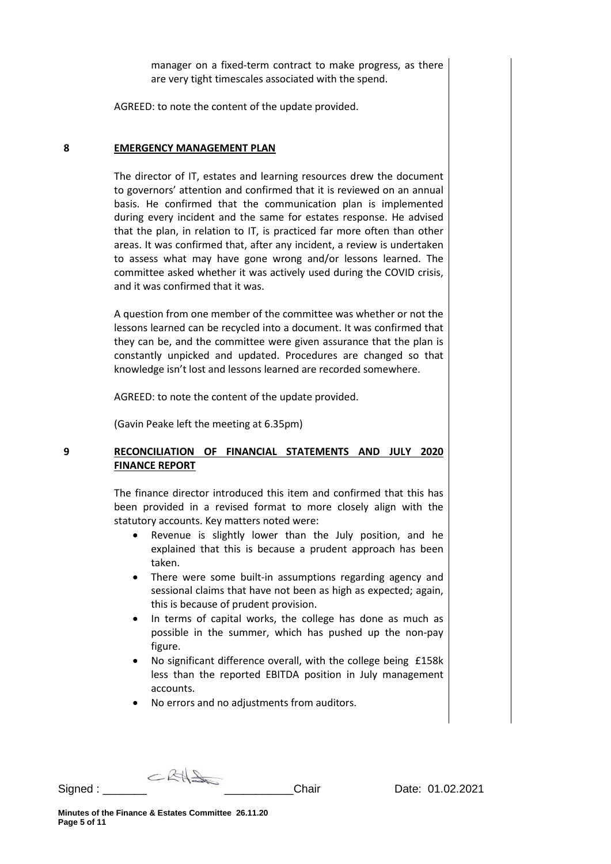manager on a fixed-term contract to make progress, as there are very tight timescales associated with the spend.

AGREED: to note the content of the update provided.

#### **8 EMERGENCY MANAGEMENT PLAN**

The director of IT, estates and learning resources drew the document to governors' attention and confirmed that it is reviewed on an annual basis. He confirmed that the communication plan is implemented during every incident and the same for estates response. He advised that the plan, in relation to IT, is practiced far more often than other areas. It was confirmed that, after any incident, a review is undertaken to assess what may have gone wrong and/or lessons learned. The committee asked whether it was actively used during the COVID crisis, and it was confirmed that it was.

A question from one member of the committee was whether or not the lessons learned can be recycled into a document. It was confirmed that they can be, and the committee were given assurance that the plan is constantly unpicked and updated. Procedures are changed so that knowledge isn't lost and lessons learned are recorded somewhere.

AGREED: to note the content of the update provided.

(Gavin Peake left the meeting at 6.35pm)

## **9 RECONCILIATION OF FINANCIAL STATEMENTS AND JULY 2020 FINANCE REPORT**

The finance director introduced this item and confirmed that this has been provided in a revised format to more closely align with the statutory accounts. Key matters noted were:

- Revenue is slightly lower than the July position, and he explained that this is because a prudent approach has been taken.
- There were some built-in assumptions regarding agency and sessional claims that have not been as high as expected; again, this is because of prudent provision.
- In terms of capital works, the college has done as much as possible in the summer, which has pushed up the non-pay figure.
- No significant difference overall, with the college being £158k less than the reported EBITDA position in July management accounts.
- No errors and no adjustments from auditors.

 $CRH\rightarrow$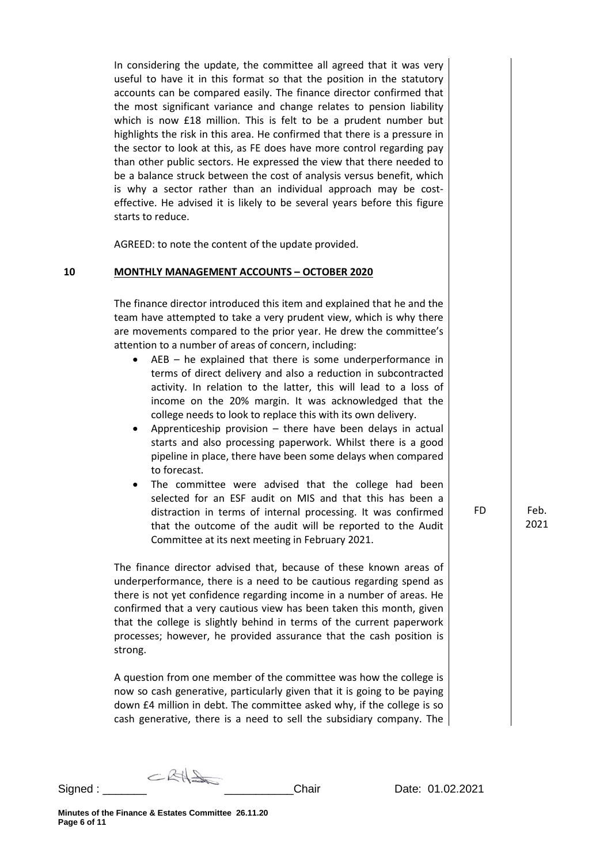In considering the update, the committee all agreed that it was very useful to have it in this format so that the position in the statutory accounts can be compared easily. The finance director confirmed that the most significant variance and change relates to pension liability which is now £18 million. This is felt to be a prudent number but highlights the risk in this area. He confirmed that there is a pressure in the sector to look at this, as FE does have more control regarding pay than other public sectors. He expressed the view that there needed to be a balance struck between the cost of analysis versus benefit, which is why a sector rather than an individual approach may be costeffective. He advised it is likely to be several years before this figure starts to reduce.

AGREED: to note the content of the update provided.

#### **10 MONTHLY MANAGEMENT ACCOUNTS – OCTOBER 2020**

The finance director introduced this item and explained that he and the team have attempted to take a very prudent view, which is why there are movements compared to the prior year. He drew the committee's attention to a number of areas of concern, including:

- $AEB he$  explained that there is some underperformance in terms of direct delivery and also a reduction in subcontracted activity. In relation to the latter, this will lead to a loss of income on the 20% margin. It was acknowledged that the college needs to look to replace this with its own delivery.
- Apprenticeship provision there have been delays in actual starts and also processing paperwork. Whilst there is a good pipeline in place, there have been some delays when compared to forecast.
- The committee were advised that the college had been selected for an ESF audit on MIS and that this has been a distraction in terms of internal processing. It was confirmed that the outcome of the audit will be reported to the Audit Committee at its next meeting in February 2021.

The finance director advised that, because of these known areas of underperformance, there is a need to be cautious regarding spend as there is not yet confidence regarding income in a number of areas. He confirmed that a very cautious view has been taken this month, given that the college is slightly behind in terms of the current paperwork processes; however, he provided assurance that the cash position is strong.

A question from one member of the committee was how the college is now so cash generative, particularly given that it is going to be paying down £4 million in debt. The committee asked why, if the college is so cash generative, there is a need to sell the subsidiary company. The FD Feb.

2021

 $CRH\rightarrow$ Signed : <u>Date: 01.02.2021</u> Chair **Date: 01.02.2021**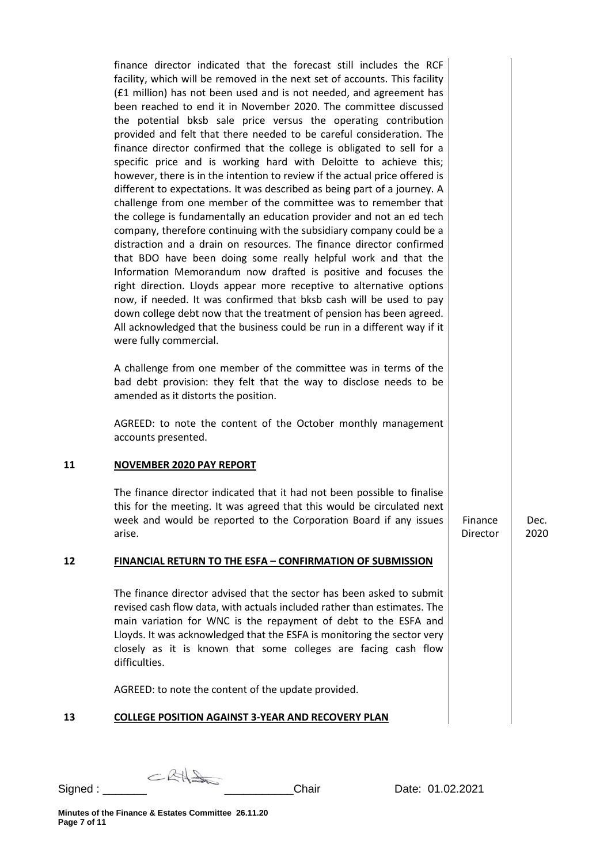finance director indicated that the forecast still includes the RCF facility, which will be removed in the next set of accounts. This facility (£1 million) has not been used and is not needed, and agreement has been reached to end it in November 2020. The committee discussed the potential bksb sale price versus the operating contribution provided and felt that there needed to be careful consideration. The finance director confirmed that the college is obligated to sell for a specific price and is working hard with Deloitte to achieve this; however, there is in the intention to review if the actual price offered is different to expectations. It was described as being part of a journey. A challenge from one member of the committee was to remember that the college is fundamentally an education provider and not an ed tech company, therefore continuing with the subsidiary company could be a distraction and a drain on resources. The finance director confirmed that BDO have been doing some really helpful work and that the Information Memorandum now drafted is positive and focuses the right direction. Lloyds appear more receptive to alternative options now, if needed. It was confirmed that bksb cash will be used to pay down college debt now that the treatment of pension has been agreed. All acknowledged that the business could be run in a different way if it were fully commercial.

A challenge from one member of the committee was in terms of the bad debt provision: they felt that the way to disclose needs to be amended as it distorts the position.

AGREED: to note the content of the October monthly management accounts presented.

## **11 NOVEMBER 2020 PAY REPORT**

The finance director indicated that it had not been possible to finalise this for the meeting. It was agreed that this would be circulated next week and would be reported to the Corporation Board if any issues arise.

## **12 FINANCIAL RETURN TO THE ESFA – CONFIRMATION OF SUBMISSION**

The finance director advised that the sector has been asked to submit revised cash flow data, with actuals included rather than estimates. The main variation for WNC is the repayment of debt to the ESFA and Lloyds. It was acknowledged that the ESFA is monitoring the sector very closely as it is known that some colleges are facing cash flow difficulties.

AGREED: to note the content of the update provided.

## **13 COLLEGE POSITION AGAINST 3-YEAR AND RECOVERY PLAN**

 $CBA$ 

Finance Director

Dec. 2020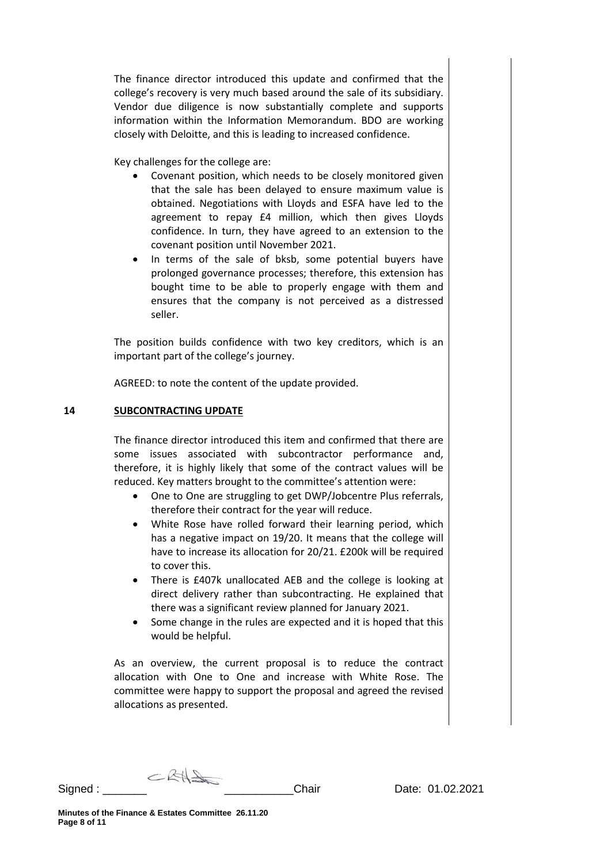The finance director introduced this update and confirmed that the college's recovery is very much based around the sale of its subsidiary. Vendor due diligence is now substantially complete and supports information within the Information Memorandum. BDO are working closely with Deloitte, and this is leading to increased confidence.

Key challenges for the college are:

- Covenant position, which needs to be closely monitored given that the sale has been delayed to ensure maximum value is obtained. Negotiations with Lloyds and ESFA have led to the agreement to repay £4 million, which then gives Lloyds confidence. In turn, they have agreed to an extension to the covenant position until November 2021.
- In terms of the sale of bksb, some potential buyers have prolonged governance processes; therefore, this extension has bought time to be able to properly engage with them and ensures that the company is not perceived as a distressed seller.

The position builds confidence with two key creditors, which is an important part of the college's journey.

AGREED: to note the content of the update provided.

## **14 SUBCONTRACTING UPDATE**

The finance director introduced this item and confirmed that there are some issues associated with subcontractor performance and, therefore, it is highly likely that some of the contract values will be reduced. Key matters brought to the committee's attention were:

- One to One are struggling to get DWP/Jobcentre Plus referrals, therefore their contract for the year will reduce.
- White Rose have rolled forward their learning period, which has a negative impact on 19/20. It means that the college will have to increase its allocation for 20/21. £200k will be required to cover this.
- There is £407k unallocated AEB and the college is looking at direct delivery rather than subcontracting. He explained that there was a significant review planned for January 2021.
- Some change in the rules are expected and it is hoped that this would be helpful.

As an overview, the current proposal is to reduce the contract allocation with One to One and increase with White Rose. The committee were happy to support the proposal and agreed the revised allocations as presented.

 $CKH2$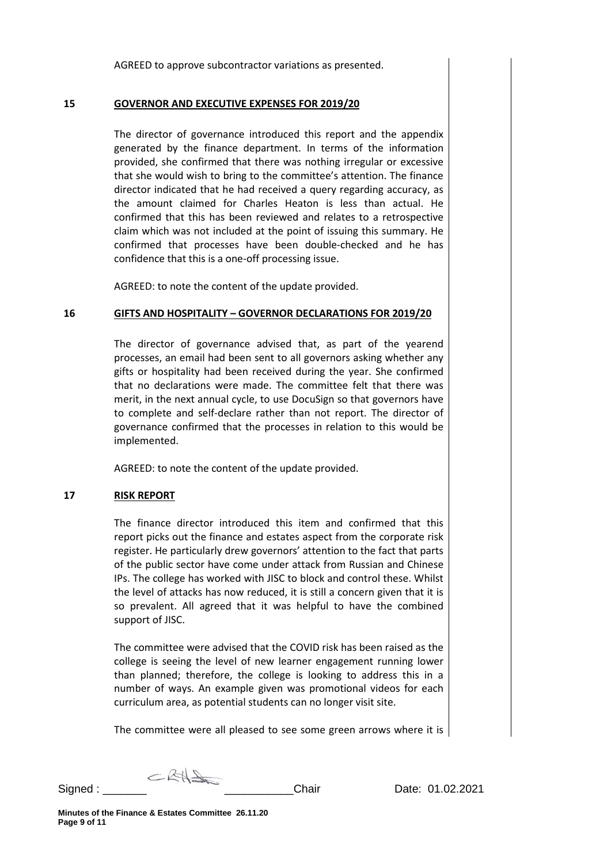AGREED to approve subcontractor variations as presented.

#### **15 GOVERNOR AND EXECUTIVE EXPENSES FOR 2019/20**

The director of governance introduced this report and the appendix generated by the finance department. In terms of the information provided, she confirmed that there was nothing irregular or excessive that she would wish to bring to the committee's attention. The finance director indicated that he had received a query regarding accuracy, as the amount claimed for Charles Heaton is less than actual. He confirmed that this has been reviewed and relates to a retrospective claim which was not included at the point of issuing this summary. He confirmed that processes have been double-checked and he has confidence that this is a one-off processing issue.

AGREED: to note the content of the update provided.

## **16 GIFTS AND HOSPITALITY – GOVERNOR DECLARATIONS FOR 2019/20**

The director of governance advised that, as part of the yearend processes, an email had been sent to all governors asking whether any gifts or hospitality had been received during the year. She confirmed that no declarations were made. The committee felt that there was merit, in the next annual cycle, to use DocuSign so that governors have to complete and self-declare rather than not report. The director of governance confirmed that the processes in relation to this would be implemented.

AGREED: to note the content of the update provided.

## **17 RISK REPORT**

The finance director introduced this item and confirmed that this report picks out the finance and estates aspect from the corporate risk register. He particularly drew governors' attention to the fact that parts of the public sector have come under attack from Russian and Chinese IPs. The college has worked with JISC to block and control these. Whilst the level of attacks has now reduced, it is still a concern given that it is so prevalent. All agreed that it was helpful to have the combined support of JISC.

The committee were advised that the COVID risk has been raised as the college is seeing the level of new learner engagement running lower than planned; therefore, the college is looking to address this in a number of ways. An example given was promotional videos for each curriculum area, as potential students can no longer visit site.

The committee were all pleased to see some green arrows where it is

 $CKH\rightarrow$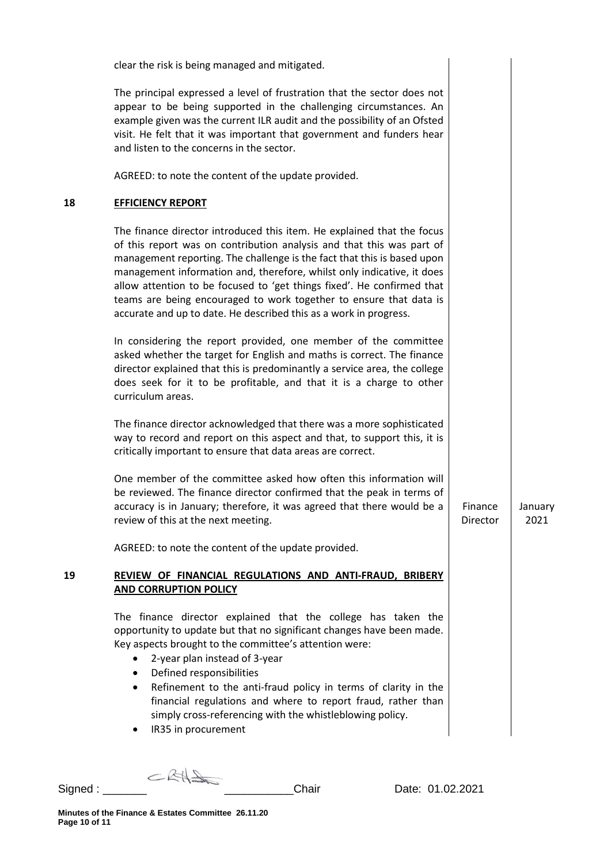|    | clear the risk is being managed and mitigated.                                                                                                                                                                                                                                                                                                                                                                                                                                                                            |                     |                 |
|----|---------------------------------------------------------------------------------------------------------------------------------------------------------------------------------------------------------------------------------------------------------------------------------------------------------------------------------------------------------------------------------------------------------------------------------------------------------------------------------------------------------------------------|---------------------|-----------------|
|    | The principal expressed a level of frustration that the sector does not<br>appear to be being supported in the challenging circumstances. An<br>example given was the current ILR audit and the possibility of an Ofsted<br>visit. He felt that it was important that government and funders hear<br>and listen to the concerns in the sector.                                                                                                                                                                            |                     |                 |
|    | AGREED: to note the content of the update provided.                                                                                                                                                                                                                                                                                                                                                                                                                                                                       |                     |                 |
| 18 | <b>EFFICIENCY REPORT</b>                                                                                                                                                                                                                                                                                                                                                                                                                                                                                                  |                     |                 |
|    | The finance director introduced this item. He explained that the focus<br>of this report was on contribution analysis and that this was part of<br>management reporting. The challenge is the fact that this is based upon<br>management information and, therefore, whilst only indicative, it does<br>allow attention to be focused to 'get things fixed'. He confirmed that<br>teams are being encouraged to work together to ensure that data is<br>accurate and up to date. He described this as a work in progress. |                     |                 |
|    | In considering the report provided, one member of the committee<br>asked whether the target for English and maths is correct. The finance<br>director explained that this is predominantly a service area, the college<br>does seek for it to be profitable, and that it is a charge to other<br>curriculum areas.                                                                                                                                                                                                        |                     |                 |
|    | The finance director acknowledged that there was a more sophisticated<br>way to record and report on this aspect and that, to support this, it is<br>critically important to ensure that data areas are correct.                                                                                                                                                                                                                                                                                                          |                     |                 |
|    | One member of the committee asked how often this information will<br>be reviewed. The finance director confirmed that the peak in terms of<br>accuracy is in January; therefore, it was agreed that there would be a<br>review of this at the next meeting.                                                                                                                                                                                                                                                               | Finance<br>Director | Januarv<br>2021 |
|    | AGREED: to note the content of the update provided.                                                                                                                                                                                                                                                                                                                                                                                                                                                                       |                     |                 |
| 19 | REVIEW OF FINANCIAL REGULATIONS AND ANTI-FRAUD, BRIBERY<br><b>AND CORRUPTION POLICY</b>                                                                                                                                                                                                                                                                                                                                                                                                                                   |                     |                 |
|    | The finance director explained that the college has taken the<br>opportunity to update but that no significant changes have been made.<br>Key aspects brought to the committee's attention were:<br>2-year plan instead of 3-year<br>Defined responsibilities<br>٠<br>Refinement to the anti-fraud policy in terms of clarity in the<br>$\bullet$<br>financial regulations and where to report fraud, rather than<br>simply cross-referencing with the whistleblowing policy.<br>IR35 in procurement                      |                     |                 |

Signed : \_\_\_\_\_\_\_ \_\_\_\_\_\_\_\_\_\_\_Chair Date: 01.02.2021